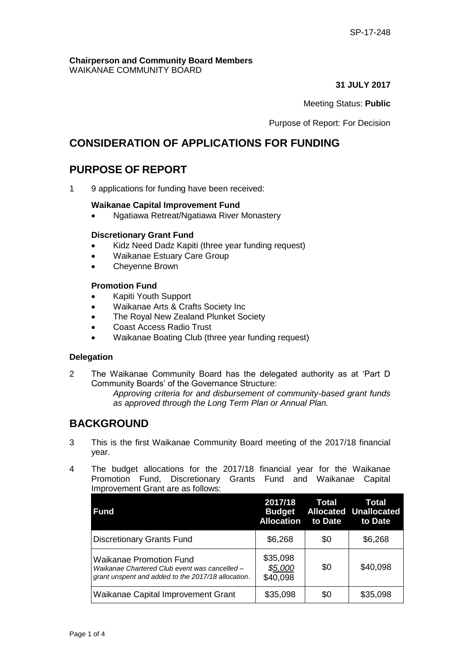#### **Chairperson and Community Board Members** WAIKANAE COMMUNITY BOARD

**31 JULY 2017**

Meeting Status: **Public**

Purpose of Report: For Decision

# **CONSIDERATION OF APPLICATIONS FOR FUNDING**

# **PURPOSE OF REPORT**

1 9 applications for funding have been received:

#### **Waikanae Capital Improvement Fund**

Ngatiawa Retreat/Ngatiawa River Monastery

#### **Discretionary Grant Fund**

- Kidz Need Dadz Kapiti (three year funding request)
- Waikanae Estuary Care Group
- Cheyenne Brown

#### **Promotion Fund**

- Kapiti Youth Support
- Waikanae Arts & Crafts Society Inc
- The Royal New Zealand Plunket Society
- Coast Access Radio Trust
- Waikanae Boating Club (three year funding request)

#### **Delegation**

2 The Waikanae Community Board has the delegated authority as at 'Part D Community Boards' of the Governance Structure:

*Approving criteria for and disbursement of community-based grant funds as approved through the Long Term Plan or Annual Plan.* 

# **BACKGROUND**

- 3 This is the first Waikanae Community Board meeting of the 2017/18 financial year.
- 4 The budget allocations for the 2017/18 financial year for the Waikanae Promotion Fund, Discretionary Grants Fund and Waikanae Capital Improvement Grant are as follows:

| <b>Fund</b>                                                                                                                           | 2017/18<br><b>Budget</b><br><b>Allocation</b> | <b>Total</b><br>to Date | Total<br><b>Allocated Unallocated</b><br>to Date |
|---------------------------------------------------------------------------------------------------------------------------------------|-----------------------------------------------|-------------------------|--------------------------------------------------|
| <b>Discretionary Grants Fund</b>                                                                                                      | \$6,268                                       | \$0                     | \$6,268                                          |
| <b>Waikanae Promotion Fund</b><br>Waikanae Chartered Club event was cancelled -<br>grant unspent and added to the 2017/18 allocation. | \$35,098<br>\$5,000<br>\$40,098               | \$0                     | \$40,098                                         |
| Waikanae Capital Improvement Grant                                                                                                    | \$35,098                                      | \$0                     | \$35,098                                         |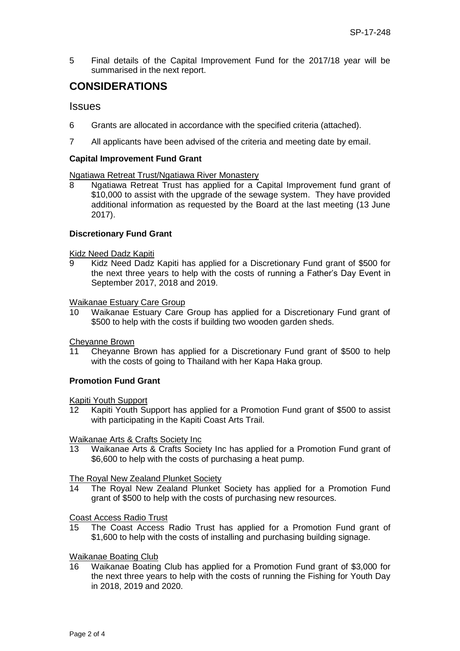5 Final details of the Capital Improvement Fund for the 2017/18 year will be summarised in the next report.

# **CONSIDERATIONS**

### **Issues**

- 6 Grants are allocated in accordance with the specified criteria (attached).
- 7 All applicants have been advised of the criteria and meeting date by email.

#### **Capital Improvement Fund Grant**

# Ngatiawa Retreat Trust/Ngatiawa River Monastery

Ngatiawa Retreat Trust has applied for a Capital Improvement fund grant of \$10,000 to assist with the upgrade of the sewage system. They have provided additional information as requested by the Board at the last meeting (13 June 2017).

#### **Discretionary Fund Grant**

Kidz Need Dadz Kapiti

9 Kidz Need Dadz Kapiti has applied for a Discretionary Fund grant of \$500 for the next three years to help with the costs of running a Father's Day Event in September 2017, 2018 and 2019.

Waikanae Estuary Care Group

10 Waikanae Estuary Care Group has applied for a Discretionary Fund grant of \$500 to help with the costs if building two wooden garden sheds.

Cheyanne Brown

11 Cheyanne Brown has applied for a Discretionary Fund grant of \$500 to help with the costs of going to Thailand with her Kapa Haka group.

#### **Promotion Fund Grant**

Kapiti Youth Support

12 Kapiti Youth Support has applied for a Promotion Fund grant of \$500 to assist with participating in the Kapiti Coast Arts Trail.

#### Waikanae Arts & Crafts Society Inc

13 Waikanae Arts & Crafts Society Inc has applied for a Promotion Fund grant of \$6,600 to help with the costs of purchasing a heat pump.

#### The Royal New Zealand Plunket Society

14 The Royal New Zealand Plunket Society has applied for a Promotion Fund grant of \$500 to help with the costs of purchasing new resources.

Coast Access Radio Trust

15 The Coast Access Radio Trust has applied for a Promotion Fund grant of \$1,600 to help with the costs of installing and purchasing building signage.

#### Waikanae Boating Club

16 Waikanae Boating Club has applied for a Promotion Fund grant of \$3,000 for the next three years to help with the costs of running the Fishing for Youth Day in 2018, 2019 and 2020.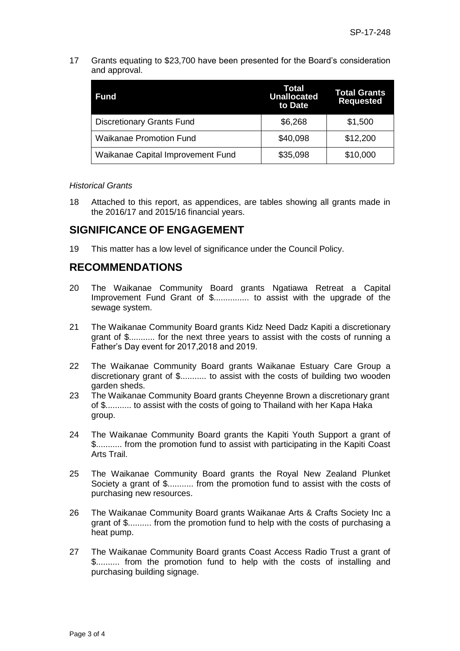17 Grants equating to \$23,700 have been presented for the Board's consideration and approval.

| <b>Fund</b>                       | Total<br><b>Unallocated</b><br>to Date | <b>Total Grants</b><br><b>Requested</b> |
|-----------------------------------|----------------------------------------|-----------------------------------------|
| <b>Discretionary Grants Fund</b>  | \$6,268                                | \$1,500                                 |
| <b>Waikanae Promotion Fund</b>    | \$40,098                               | \$12,200                                |
| Waikanae Capital Improvement Fund | \$35,098                               | \$10,000                                |

#### *Historical Grants*

18 Attached to this report, as appendices, are tables showing all grants made in the 2016/17 and 2015/16 financial years.

# **SIGNIFICANCE OF ENGAGEMENT**

19 This matter has a low level of significance under the Council Policy.

# **RECOMMENDATIONS**

- 20 The Waikanae Community Board grants Ngatiawa Retreat a Capital Improvement Fund Grant of \$................. to assist with the upgrade of the sewage system.
- 21 The Waikanae Community Board grants Kidz Need Dadz Kapiti a discretionary grant of \$........... for the next three years to assist with the costs of running a Father's Day event for 2017,2018 and 2019.
- 22 The Waikanae Community Board grants Waikanae Estuary Care Group a discretionary grant of \$........... to assist with the costs of building two wooden garden sheds.
- 23 The Waikanae Community Board grants Cheyenne Brown a discretionary grant of \$........... to assist with the costs of going to Thailand with her Kapa Haka group.
- 24 The Waikanae Community Board grants the Kapiti Youth Support a grant of \$........... from the promotion fund to assist with participating in the Kapiti Coast Arts Trail.
- 25 The Waikanae Community Board grants the Royal New Zealand Plunket Society a grant of \$........... from the promotion fund to assist with the costs of purchasing new resources.
- 26 The Waikanae Community Board grants Waikanae Arts & Crafts Society Inc a grant of \$.......... from the promotion fund to help with the costs of purchasing a heat pump.
- 27 The Waikanae Community Board grants Coast Access Radio Trust a grant of \$.......... from the promotion fund to help with the costs of installing and purchasing building signage.